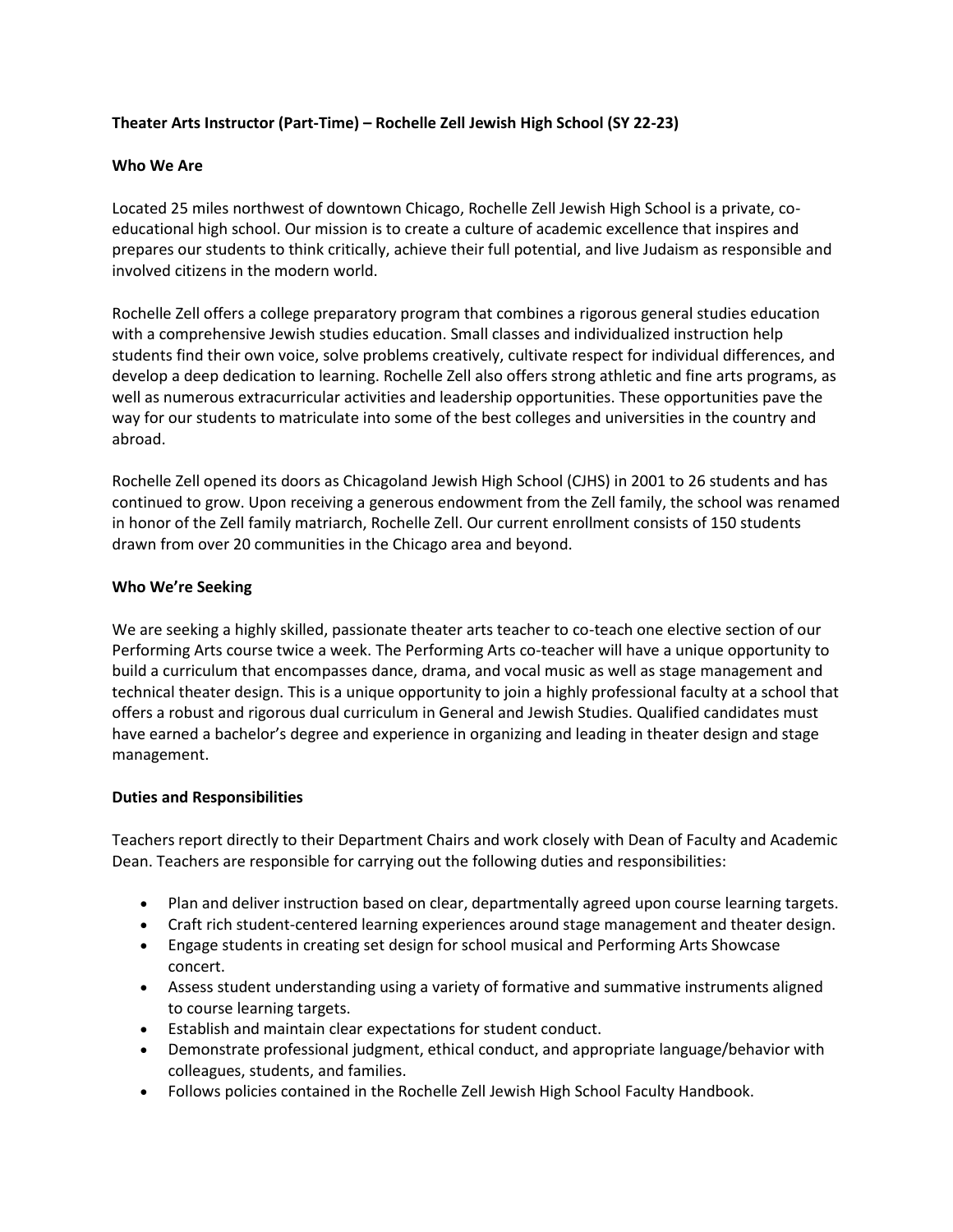## **Theater Arts Instructor (Part-Time) – Rochelle Zell Jewish High School (SY 22-23)**

### **Who We Are**

Located 25 miles northwest of downtown Chicago, Rochelle Zell Jewish High School is a private, coeducational high school. Our mission is to create a culture of academic excellence that inspires and prepares our students to think critically, achieve their full potential, and live Judaism as responsible and involved citizens in the modern world.

Rochelle Zell offers a college preparatory program that combines a rigorous general studies education with a comprehensive Jewish studies education. Small classes and individualized instruction help students find their own voice, solve problems creatively, cultivate respect for individual differences, and develop a deep dedication to learning. Rochelle Zell also offers strong athletic and fine arts programs, as well as numerous extracurricular activities and leadership opportunities. These opportunities pave the way for our students to matriculate into some of the best colleges and universities in the country and abroad.

Rochelle Zell opened its doors as Chicagoland Jewish High School (CJHS) in 2001 to 26 students and has continued to grow. Upon receiving a generous endowment from the Zell family, the school was renamed in honor of the Zell family matriarch, Rochelle Zell. Our current enrollment consists of 150 students drawn from over 20 communities in the Chicago area and beyond.

#### **Who We're Seeking**

We are seeking a highly skilled, passionate theater arts teacher to co-teach one elective section of our Performing Arts course twice a week. The Performing Arts co-teacher will have a unique opportunity to build a curriculum that encompasses dance, drama, and vocal music as well as stage management and technical theater design. This is a unique opportunity to join a highly professional faculty at a school that offers a robust and rigorous dual curriculum in General and Jewish Studies. Qualified candidates must have earned a bachelor's degree and experience in organizing and leading in theater design and stage management.

#### **Duties and Responsibilities**

Teachers report directly to their Department Chairs and work closely with Dean of Faculty and Academic Dean. Teachers are responsible for carrying out the following duties and responsibilities:

- Plan and deliver instruction based on clear, departmentally agreed upon course learning targets.
- Craft rich student-centered learning experiences around stage management and theater design.
- Engage students in creating set design for school musical and Performing Arts Showcase concert.
- Assess student understanding using a variety of formative and summative instruments aligned to course learning targets.
- Establish and maintain clear expectations for student conduct.
- Demonstrate professional judgment, ethical conduct, and appropriate language/behavior with colleagues, students, and families.
- Follows policies contained in the Rochelle Zell Jewish High School Faculty Handbook.